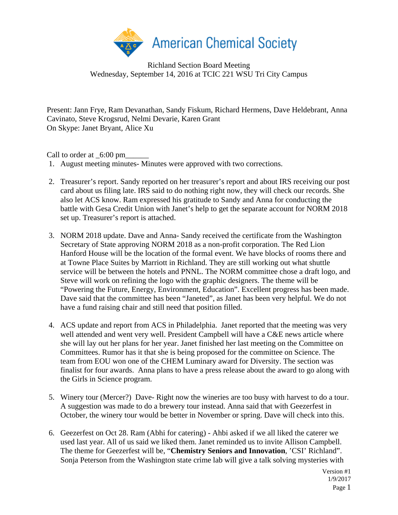

## Richland Section Board Meeting Wednesday, September 14, 2016 at TCIC 221 WSU Tri City Campus

Present: Jann Frye, Ram Devanathan, Sandy Fiskum, Richard Hermens, Dave Heldebrant, Anna Cavinato, Steve Krogsrud, Nelmi Devarie, Karen Grant On Skype: Janet Bryant, Alice Xu

Call to order at  $\_6:00 \text{ pm}$ 

- 1. August meeting minutes- Minutes were approved with two corrections.
- 2. Treasurer's report. Sandy reported on her treasurer's report and about IRS receiving our post card about us filing late. IRS said to do nothing right now, they will check our records. She also let ACS know. Ram expressed his gratitude to Sandy and Anna for conducting the battle with Gesa Credit Union with Janet's help to get the separate account for NORM 2018 set up. Treasurer's report is attached.
- 3. NORM 2018 update. Dave and Anna- Sandy received the certificate from the Washington Secretary of State approving NORM 2018 as a non-profit corporation. The Red Lion Hanford House will be the location of the formal event. We have blocks of rooms there and at Towne Place Suites by Marriott in Richland. They are still working out what shuttle service will be between the hotels and PNNL. The NORM committee chose a draft logo, and Steve will work on refining the logo with the graphic designers. The theme will be "Powering the Future, Energy, Environment, Education". Excellent progress has been made. Dave said that the committee has been "Janeted", as Janet has been very helpful. We do not have a fund raising chair and still need that position filled.
- 4. ACS update and report from ACS in Philadelphia. Janet reported that the meeting was very well attended and went very well. President Campbell will have a C&E news article where she will lay out her plans for her year. Janet finished her last meeting on the Committee on Committees. Rumor has it that she is being proposed for the committee on Science. The team from EOU won one of the CHEM Luminary award for Diversity. The section was finalist for four awards. Anna plans to have a press release about the award to go along with the Girls in Science program.
- 5. Winery tour (Mercer?) Dave- Right now the wineries are too busy with harvest to do a tour. A suggestion was made to do a brewery tour instead. Anna said that with Geezerfest in October, the winery tour would be better in November or spring. Dave will check into this.
- 6. Geezerfest on Oct 28. Ram (Abhi for catering) Ahbi asked if we all liked the caterer we used last year. All of us said we liked them. Janet reminded us to invite Allison Campbell. The theme for Geezerfest will be, "**Chemistry Seniors and Innovation**, 'CSI' Richland". Sonja Peterson from the Washington state crime lab will give a talk solving mysteries with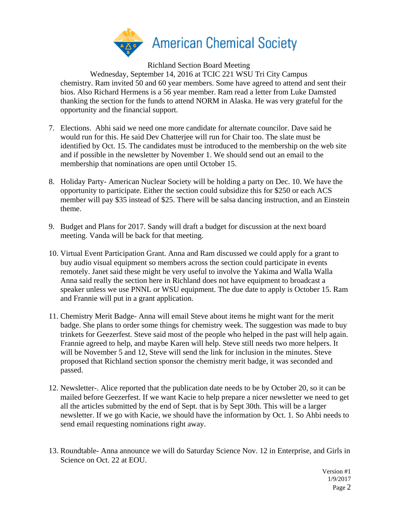

Richland Section Board Meeting

Wednesday, September 14, 2016 at TCIC 221 WSU Tri City Campus chemistry. Ram invited 50 and 60 year members. Some have agreed to attend and sent their bios. Also Richard Hermens is a 56 year member. Ram read a letter from Luke Damsted thanking the section for the funds to attend NORM in Alaska. He was very grateful for the opportunity and the financial support.

- 7. Elections. Abhi said we need one more candidate for alternate councilor. Dave said he would run for this. He said Dev Chatterjee will run for Chair too. The slate must be identified by Oct. 15. The candidates must be introduced to the membership on the web site and if possible in the newsletter by November 1. We should send out an email to the membership that nominations are open until October 15.
- 8. Holiday Party- American Nuclear Society will be holding a party on Dec. 10. We have the opportunity to participate. Either the section could subsidize this for \$250 or each ACS member will pay \$35 instead of \$25. There will be salsa dancing instruction, and an Einstein theme.
- 9. Budget and Plans for 2017. Sandy will draft a budget for discussion at the next board meeting. Vanda will be back for that meeting.
- 10. Virtual Event Participation Grant. Anna and Ram discussed we could apply for a grant to buy audio visual equipment so members across the section could participate in events remotely. Janet said these might be very useful to involve the Yakima and Walla Walla Anna said really the section here in Richland does not have equipment to broadcast a speaker unless we use PNNL or WSU equipment. The due date to apply is October 15. Ram and Frannie will put in a grant application.
- 11. Chemistry Merit Badge- Anna will email Steve about items he might want for the merit badge. She plans to order some things for chemistry week. The suggestion was made to buy trinkets for Geezerfest. Steve said most of the people who helped in the past will help again. Frannie agreed to help, and maybe Karen will help. Steve still needs two more helpers. It will be November 5 and 12, Steve will send the link for inclusion in the minutes. Steve proposed that Richland section sponsor the chemistry merit badge, it was seconded and passed.
- 12. Newsletter-. Alice reported that the publication date needs to be by October 20, so it can be mailed before Geezerfest. If we want Kacie to help prepare a nicer newsletter we need to get all the articles submitted by the end of Sept. that is by Sept 30th. This will be a larger newsletter. If we go with Kacie, we should have the information by Oct. 1. So Ahbi needs to send email requesting nominations right away.
- 13. Roundtable- Anna announce we will do Saturday Science Nov. 12 in Enterprise, and Girls in Science on Oct. 22 at EOU.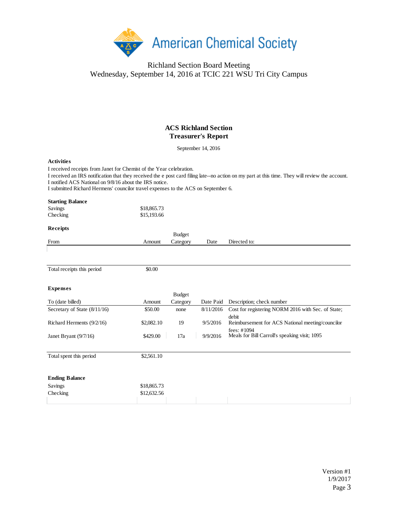

## Richland Section Board Meeting Wednesday, September 14, 2016 at TCIC 221 WSU Tri City Campus

## **ACS Richland Section Treasurer's Report**

September 14, 2016

## **Activities**

I received receipts from Janet for Chemist of the Year celebration.

I notified ACS National on 9/8/16 about the IRS notice. I received an IRS notification that they received the e post card filing late--no action on my part at this time. They will review the account.

I submitted Richard Hermens' councilor travel expenses to the ACS on September 6.

| <b>Starting Balance</b><br>Savings<br>Checking | \$18,865.73<br>\$15,193.66 |               |           |                                                                 |
|------------------------------------------------|----------------------------|---------------|-----------|-----------------------------------------------------------------|
| Receipts                                       |                            | <b>Budget</b> |           |                                                                 |
| From                                           | Amount                     | Category      | Date      | Directed to:                                                    |
|                                                |                            |               |           |                                                                 |
| Total receipts this period                     | \$0.00                     |               |           |                                                                 |
| <b>Expenses</b>                                |                            | <b>Budget</b> |           |                                                                 |
| To (date billed)                               | Amount                     | Category      | Date Paid | Description; check number                                       |
| Secretary of State (8/11/16)                   | \$50.00                    | none          | 8/11/2016 | Cost for registering NORM 2016 with Sec. of State;<br>debit     |
| Richard Herments (9/2/16)                      | \$2,082.10                 | 19            | 9/5/2016  | Reimbursement for ACS National meeting/councilor<br>fees: #1094 |
| Janet Bryant (9/7/16)                          | \$429.00                   | 17a           | 9/9/2016  | Meals for Bill Carroll's speaking visit; 1095                   |
| Total spent this period                        | \$2,561.10                 |               |           |                                                                 |
| <b>Ending Balance</b>                          |                            |               |           |                                                                 |
| Savings                                        | \$18,865.73                |               |           |                                                                 |
| Checking                                       | \$12,632.56                |               |           |                                                                 |